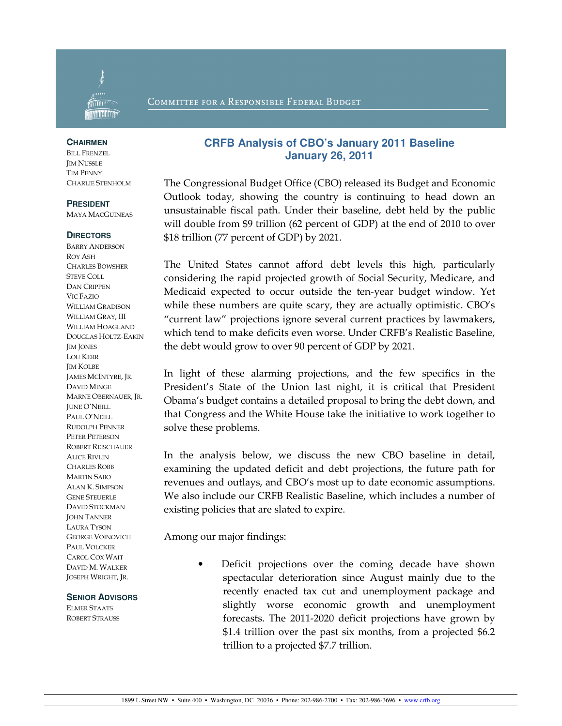

### COMMITTEE FOR A RESPONSIBLE FEDERAL BUDGET

#### **CHAIRMEN**

BILL FRENZEL JIM NUSSLE TIM PENNY CHARLIE STENHOLM

### **PRESIDENT**

MAYA MACGUINEAS

#### **DIRECTORS**

BARRY ANDERSON ROY ASH CHARLES BOWSHER STEVE COLL DAN CRIPPEN VIC FAZIO WILLIAM GRADISON WILLIAM GRAY, III WILLIAM HOAGLAND DOUGLAS HOLTZ-EAKIN *IIM JONES* LOU KERR JIM KOLBE JAMES MCINTYRE, JR. DAVID MINGE MARNE OBERNAUER, JR. JUNE O'NEILL PAUL O'NEILL RUDOLPH PENNER PETER PETERSON ROBERT REISCHAUER ALICE RIVLIN CHARLES ROBB MARTIN SABO ALAN K. SIMPSON GENE STEUERLE DAVID STOCKMAN JOHN TANNER LAURA TYSON GEORGE VOINOVICH PAUL VOLCKER CAROL COX WAIT DAVID M. WALKER JOSEPH WRIGHT, JR.

### **SENIOR ADVISORS**

ELMER STAATS ROBERT STRAUSS

## **CRFB Analysis of CBO's January 2011 Baseline January 26, 2011**

The Congressional Budget Office (CBO) released its Budget and Economic Outlook today, showing the country is continuing to head down an unsustainable fiscal path. Under their baseline, debt held by the public will double from \$9 trillion (62 percent of GDP) at the end of 2010 to over \$18 trillion (77 percent of GDP) by 2021.

The United States cannot afford debt levels this high, particularly considering the rapid projected growth of Social Security, Medicare, and Medicaid expected to occur outside the ten-year budget window. Yet while these numbers are quite scary, they are actually optimistic. CBO's "current law" projections ignore several current practices by lawmakers, which tend to make deficits even worse. Under CRFB's Realistic Baseline, the debt would grow to over 90 percent of GDP by 2021.

In light of these alarming projections, and the few specifics in the President's State of the Union last night, it is critical that President Obama's budget contains a detailed proposal to bring the debt down, and that Congress and the White House take the initiative to work together to solve these problems.

In the analysis below, we discuss the new CBO baseline in detail, examining the updated deficit and debt projections, the future path for revenues and outlays, and CBO's most up to date economic assumptions. We also include our CRFB Realistic Baseline, which includes a number of existing policies that are slated to expire.

Among our major findings:

Deficit projections over the coming decade have shown spectacular deterioration since August mainly due to the recently enacted tax cut and unemployment package and slightly worse economic growth and unemployment forecasts. The 2011-2020 deficit projections have grown by \$1.4 trillion over the past six months, from a projected \$6.2 trillion to a projected \$7.7 trillion.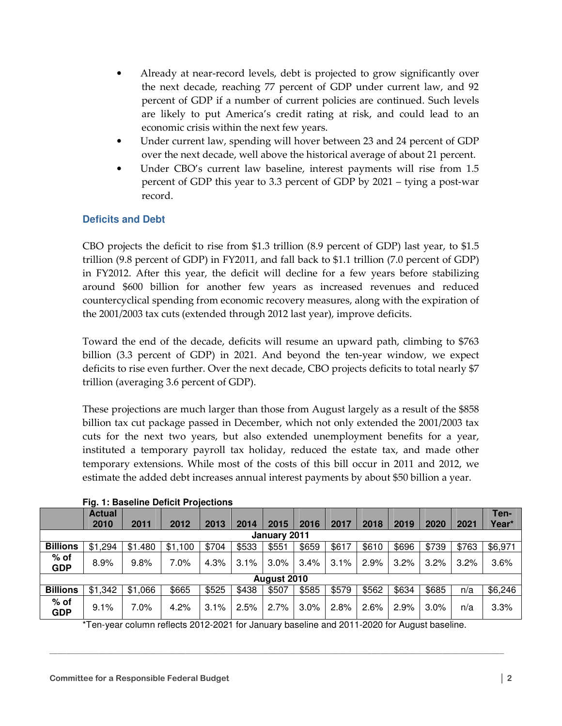- Already at near-record levels, debt is projected to grow significantly over the next decade, reaching 77 percent of GDP under current law, and 92 percent of GDP if a number of current policies are continued. Such levels are likely to put America's credit rating at risk, and could lead to an economic crisis within the next few years.
- Under current law, spending will hover between 23 and 24 percent of GDP over the next decade, well above the historical average of about 21 percent.
- Under CBO's current law baseline, interest payments will rise from 1.5 percent of GDP this year to 3.3 percent of GDP by 2021 – tying a post-war record.

# **Deficits and Debt**

CBO projects the deficit to rise from \$1.3 trillion (8.9 percent of GDP) last year, to \$1.5 trillion (9.8 percent of GDP) in FY2011, and fall back to \$1.1 trillion (7.0 percent of GDP) in FY2012. After this year, the deficit will decline for a few years before stabilizing around \$600 billion for another few years as increased revenues and reduced countercyclical spending from economic recovery measures, along with the expiration of the 2001/2003 tax cuts (extended through 2012 last year), improve deficits.

Toward the end of the decade, deficits will resume an upward path, climbing to \$763 billion (3.3 percent of GDP) in 2021. And beyond the ten-year window, we expect deficits to rise even further. Over the next decade, CBO projects deficits to total nearly \$7 trillion (averaging 3.6 percent of GDP).

These projections are much larger than those from August largely as a result of the \$858 billion tax cut package passed in December, which not only extended the 2001/2003 tax cuts for the next two years, but also extended unemployment benefits for a year, instituted a temporary payroll tax holiday, reduced the estate tax, and made other temporary extensions. While most of the costs of this bill occur in 2011 and 2012, we estimate the added debt increases annual interest payments by about \$50 billion a year.

|                      | <b>Actual</b><br>2010 | 2011    | 2012    | 2013  | 2014  | 2015  | 2016  | 2017  | 2018  | 2019  | 2020  | 2021  | Ten-<br>Year* |
|----------------------|-----------------------|---------|---------|-------|-------|-------|-------|-------|-------|-------|-------|-------|---------------|
| January 2011         |                       |         |         |       |       |       |       |       |       |       |       |       |               |
| <b>Billions</b>      | \$1,294               | \$1.480 | \$1,100 | \$704 | \$533 | \$551 | \$659 | \$617 | \$610 | \$696 | \$739 | \$763 | \$6,971       |
| % of<br><b>GDP</b>   | 8.9%                  | 9.8%    | 7.0%    | 4.3%  | 3.1%  | 3.0%  | 3.4%  | 3.1%  | 2.9%  | 3.2%  | 3.2%  | 3.2%  | 3.6%          |
| August 2010          |                       |         |         |       |       |       |       |       |       |       |       |       |               |
| <b>Billions</b>      | \$1,342               | \$1,066 | \$665   | \$525 | \$438 | \$507 | \$585 | \$579 | \$562 | \$634 | \$685 | n/a   | \$6,246       |
| $%$ of<br><b>GDP</b> | 9.1%                  | 7.0%    | 4.2%    | 3.1%  | 2.5%  | 2.7%  | 3.0%  | 2.8%  | 2.6%  | 2.9%  | 3.0%  | n/a   | 3.3%          |

**Fig. 1: Baseline Deficit Projections** 

\*Ten-year column reflects 2012-2021 for January baseline and 2011-2020 for August baseline.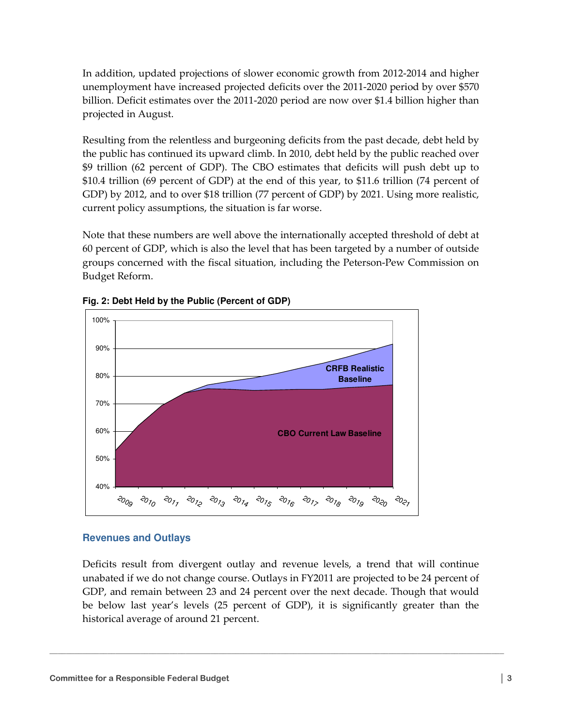In addition, updated projections of slower economic growth from 2012-2014 and higher unemployment have increased projected deficits over the 2011-2020 period by over \$570 billion. Deficit estimates over the 2011-2020 period are now over \$1.4 billion higher than projected in August.

Resulting from the relentless and burgeoning deficits from the past decade, debt held by the public has continued its upward climb. In 2010, debt held by the public reached over \$9 trillion (62 percent of GDP). The CBO estimates that deficits will push debt up to \$10.4 trillion (69 percent of GDP) at the end of this year, to \$11.6 trillion (74 percent of GDP) by 2012, and to over \$18 trillion (77 percent of GDP) by 2021. Using more realistic, current policy assumptions, the situation is far worse.

Note that these numbers are well above the internationally accepted threshold of debt at 60 percent of GDP, which is also the level that has been targeted by a number of outside groups concerned with the fiscal situation, including the Peterson-Pew Commission on Budget Reform.



**Fig. 2: Debt Held by the Public (Percent of GDP)** 

# **Revenues and Outlays**

Deficits result from divergent outlay and revenue levels, a trend that will continue unabated if we do not change course. Outlays in FY2011 are projected to be 24 percent of GDP, and remain between 23 and 24 percent over the next decade. Though that would be below last year's levels (25 percent of GDP), it is significantly greater than the historical average of around 21 percent.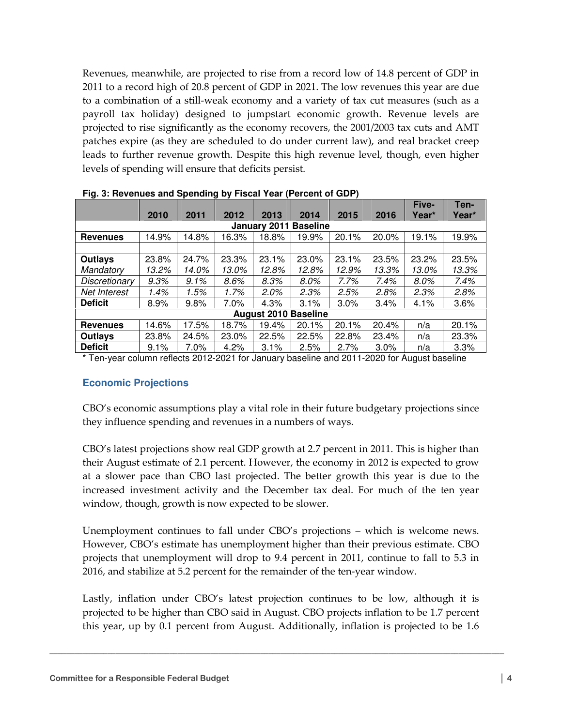Revenues, meanwhile, are projected to rise from a record low of 14.8 percent of GDP in 2011 to a record high of 20.8 percent of GDP in 2021. The low revenues this year are due to a combination of a still-weak economy and a variety of tax cut measures (such as a payroll tax holiday) designed to jumpstart economic growth. Revenue levels are projected to rise significantly as the economy recovers, the 2001/2003 tax cuts and AMT patches expire (as they are scheduled to do under current law), and real bracket creep leads to further revenue growth. Despite this high revenue level, though, even higher levels of spending will ensure that deficits persist.

|                                 |       |         |       |         |       |       |       | Five-   | Ten-  |  |  |  |
|---------------------------------|-------|---------|-------|---------|-------|-------|-------|---------|-------|--|--|--|
|                                 | 2010  | 2011    | 2012  | 2013    | 2014  | 2015  | 2016  | Year*   | Year* |  |  |  |
| <b>Baseline</b><br>January 2011 |       |         |       |         |       |       |       |         |       |  |  |  |
| <b>Revenues</b>                 | 14.9% | 14.8%   | 16.3% | 18.8%   | 19.9% | 20.1% | 20.0% | 19.1%   | 19.9% |  |  |  |
|                                 |       |         |       |         |       |       |       |         |       |  |  |  |
| <b>Outlays</b>                  | 23.8% | 24.7%   | 23.3% | 23.1%   | 23.0% | 23.1% | 23.5% | 23.2%   | 23.5% |  |  |  |
| Mandatory                       | 13.2% | 14.0%   | 13.0% | 12.8%   | 12.8% | 12.9% | 13.3% | 13.0%   | 13.3% |  |  |  |
| Discretionary                   | 9.3%  | $9.1\%$ | 8.6%  | 8.3%    | 8.0%  | 7.7%  | 7.4%  | $8.0\%$ | 7.4%  |  |  |  |
| Net Interest                    | 1.4%  | 1.5%    | 1.7%  | $2.0\%$ | 2.3%  | 2.5%  | 2.8%  | 2.3%    | 2.8%  |  |  |  |
| <b>Deficit</b>                  | 8.9%  | 9.8%    | 7.0%  | 4.3%    | 3.1%  | 3.0%  | 3.4%  | 4.1%    | 3.6%  |  |  |  |
| <b>August 2010 Baseline</b>     |       |         |       |         |       |       |       |         |       |  |  |  |
| <b>Revenues</b>                 | 14.6% | 17.5%   | 18.7% | 19.4%   | 20.1% | 20.1% | 20.4% | n/a     | 20.1% |  |  |  |
| Outlays                         | 23.8% | 24.5%   | 23.0% | 22.5%   | 22.5% | 22.8% | 23.4% | n/a     | 23.3% |  |  |  |
| <b>Deficit</b>                  | 9.1%  | 7.0%    | 4.2%  | 3.1%    | 2.5%  | 2.7%  | 3.0%  | n/a     | 3.3%  |  |  |  |

**Fig. 3: Revenues and Spending by Fiscal Year (Percent of GDP)** 

\* Ten-year column reflects 2012-2021 for January baseline and 2011-2020 for August baseline

## **Economic Projections**

CBO's economic assumptions play a vital role in their future budgetary projections since they influence spending and revenues in a numbers of ways.

CBO's latest projections show real GDP growth at 2.7 percent in 2011. This is higher than their August estimate of 2.1 percent. However, the economy in 2012 is expected to grow at a slower pace than CBO last projected. The better growth this year is due to the increased investment activity and the December tax deal. For much of the ten year window, though, growth is now expected to be slower.

Unemployment continues to fall under CBO's projections – which is welcome news. However, CBO's estimate has unemployment higher than their previous estimate. CBO projects that unemployment will drop to 9.4 percent in 2011, continue to fall to 5.3 in 2016, and stabilize at 5.2 percent for the remainder of the ten-year window.

Lastly, inflation under CBO's latest projection continues to be low, although it is projected to be higher than CBO said in August. CBO projects inflation to be 1.7 percent this year, up by 0.1 percent from August. Additionally, inflation is projected to be 1.6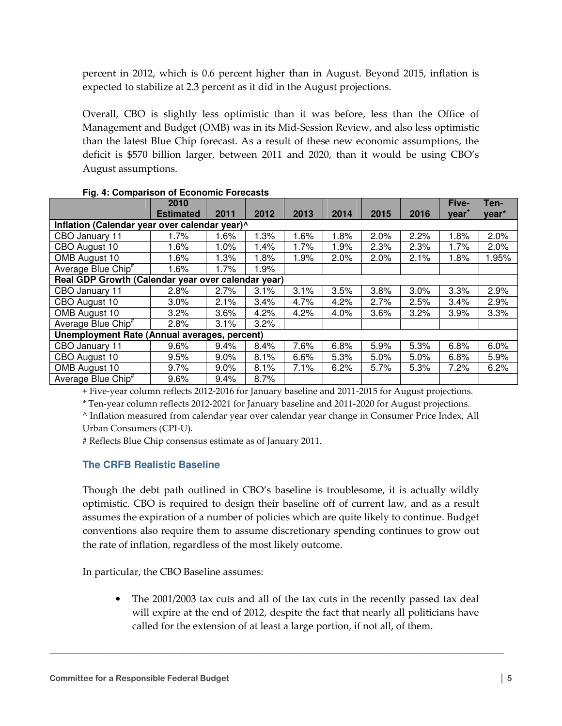percent in 2012, which is 0.6 percent higher than in August. Beyond 2015, inflation is expected to stabilize at 2.3 percent as it did in the August projections.

Overall, CBO is slightly less optimistic than it was before, less than the Office of Management and Budget (OMB) was in its Mid-Session Review, and also less optimistic than the latest Blue Chip forecast. As a result of these new economic assumptions, the deficit is \$570 billion larger, between 2011 and 2020, than it would be using CBO's August assumptions.

|                                                    | 2010                                         |      |      |      |      |      |      | Five-             | Ten-  |  |  |
|----------------------------------------------------|----------------------------------------------|------|------|------|------|------|------|-------------------|-------|--|--|
|                                                    | <b>Estimated</b>                             | 2011 | 2012 | 2013 | 2014 | 2015 | 2016 | vear <sup>+</sup> | year* |  |  |
| Inflation (Calendar year over calendar year)^      |                                              |      |      |      |      |      |      |                   |       |  |  |
| CBO January 11                                     | 1.7%                                         | 1.6% | .3%  | 1.6% | 1.8% | 2.0% | 2.2% | 1.8%              | 2.0%  |  |  |
| CBO August 10                                      | 1.6%                                         | 1.0% | 1.4% | 1.7% | 1.9% | 2.3% | 2.3% | 1.7%              | 2.0%  |  |  |
| OMB August 10                                      | 1.6%                                         | 1.3% | 1.8% | 1.9% | 2.0% | 2.0% | 2.1% | 1.8%              | 1.95% |  |  |
| Average Blue Chip <sup>#</sup>                     | 1.6%                                         | 1.7% | .9%  |      |      |      |      |                   |       |  |  |
| Real GDP Growth (Calendar year over calendar year) |                                              |      |      |      |      |      |      |                   |       |  |  |
| CBO January 11                                     | 2.8%                                         | 2.7% | 3.1% | 3.1% | 3.5% | 3.8% | 3.0% | 3.3%              | 2.9%  |  |  |
| CBO August 10                                      | 3.0%                                         | 2.1% | 3.4% | 4.7% | 4.2% | 2.7% | 2.5% | 3.4%              | 2.9%  |  |  |
| OMB August 10                                      | 3.2%                                         | 3.6% | 4.2% | 4.2% | 4.0% | 3.6% | 3.2% | 3.9%              | 3.3%  |  |  |
| Average Blue Chip <sup>#</sup>                     | 2.8%                                         | 3.1% | 3.2% |      |      |      |      |                   |       |  |  |
|                                                    | Unemployment Rate (Annual averages, percent) |      |      |      |      |      |      |                   |       |  |  |
| CBO January 11                                     | 9.6%                                         | 9.4% | 8.4% | 7.6% | 6.8% | 5.9% | 5.3% | 6.8%              | 6.0%  |  |  |
| CBO August 10                                      | 9.5%                                         | 9.0% | 8.1% | 6.6% | 5.3% | 5.0% | 5.0% | 6.8%              | 5.9%  |  |  |
| OMB August 10                                      | 9.7%                                         | 9.0% | 8.1% | 7.1% | 6.2% | 5.7% | 5.3% | 7.2%              | 6.2%  |  |  |
| Average Blue Chip <sup>#</sup>                     | 9.6%                                         | 9.4% | 8.7% |      |      |      |      |                   |       |  |  |

### **Fig. 4: Comparison of Economic Forecasts**

+ Five-year column reflects 2012-2016 for January baseline and 2011-2015 for August projections.

\* Ten-year column reflects 2012-2021 for January baseline and 2011-2020 for August projections.

^ Inflation measured from calendar year over calendar year change in Consumer Price Index, All

Urban Consumers (CPI-U).

# Reflects Blue Chip consensus estimate as of January 2011.

# **The CRFB Realistic Baseline**

Though the debt path outlined in CBO's baseline is troublesome, it is actually wildly optimistic. CBO is required to design their baseline off of current law, and as a result assumes the expiration of a number of policies which are quite likely to continue. Budget conventions also require them to assume discretionary spending continues to grow out the rate of inflation, regardless of the most likely outcome.

In particular, the CBO Baseline assumes:

• The 2001/2003 tax cuts and all of the tax cuts in the recently passed tax deal will expire at the end of 2012, despite the fact that nearly all politicians have called for the extension of at least a large portion, if not all, of them.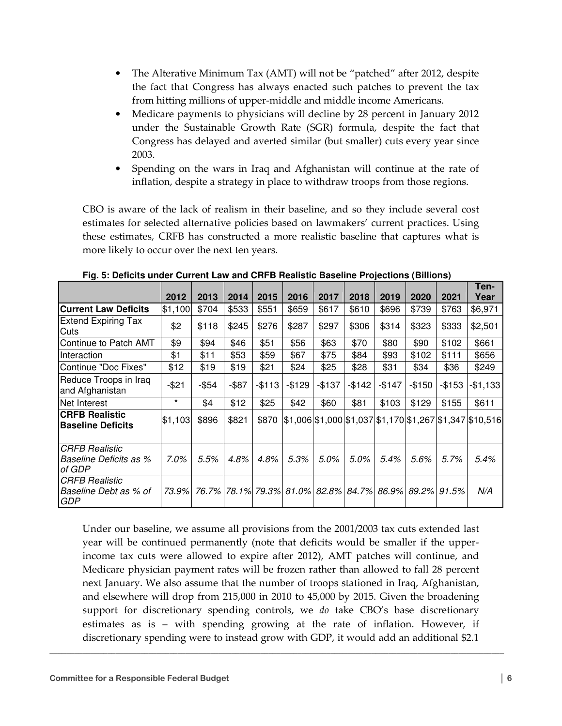- The Alterative Minimum Tax (AMT) will not be "patched" after 2012, despite the fact that Congress has always enacted such patches to prevent the tax from hitting millions of upper-middle and middle income Americans.
- Medicare payments to physicians will decline by 28 percent in January 2012 under the Sustainable Growth Rate (SGR) formula, despite the fact that Congress has delayed and averted similar (but smaller) cuts every year since 2003.
- Spending on the wars in Iraq and Afghanistan will continue at the rate of inflation, despite a strategy in place to withdraw troops from those regions.

CBO is aware of the lack of realism in their baseline, and so they include several cost estimates for selected alternative policies based on lawmakers' current practices. Using these estimates, CRFB has constructed a more realistic baseline that captures what is more likely to occur over the next ten years.

|                                                                     | 2012     | 2013     | 2014     | 2015      | 2016                                                                  | 2017      | 2018      | 2019   | 2020    | 2021    | Ten-<br>Year                                             |
|---------------------------------------------------------------------|----------|----------|----------|-----------|-----------------------------------------------------------------------|-----------|-----------|--------|---------|---------|----------------------------------------------------------|
| <b>Current Law Deficits</b>                                         | \$1,100  | \$704    | \$533    | \$551     | \$659                                                                 | \$617     | \$610     | \$696  | \$739   | \$763   | \$6,971                                                  |
| <b>Extend Expiring Tax</b><br>Cuts                                  | \$2      | \$118    | \$245    | \$276     | \$287                                                                 | \$297     | \$306     | \$314  | \$323   | \$333   | \$2,501                                                  |
| Continue to Patch AMT                                               | \$9      | \$94     | \$46     | \$51      | \$56                                                                  | \$63      | \$70      | \$80   | \$90    | \$102   | \$661                                                    |
| Interaction                                                         | \$1      | \$11     | \$53     | \$59      | \$67                                                                  | \$75      | \$84      | \$93   | \$102   | \$111   | \$656                                                    |
| Continue "Doc Fixes"                                                | \$12     | \$19     | \$19     | \$21      | \$24                                                                  | \$25      | \$28      | \$31   | \$34    | \$36    | \$249                                                    |
| Reduce Troops in Iraq<br>and Afghanistan                            | $-$ \$21 | $-$ \$54 | $-$ \$87 | $-$ \$113 | $-$129$                                                               | $-$ \$137 | $-$ \$142 | -\$147 | $-$150$ | $-$153$ | $-$1,133$                                                |
| <b>INet Interest</b>                                                | $\star$  | \$4      | \$12     | \$25      | \$42                                                                  | \$60      | \$81      | \$103  | \$129   | \$155   | \$611                                                    |
| <b>CRFB Realistic</b><br><b>Baseline Deficits</b>                   | \$1,103  | \$896    | \$821    | \$870     |                                                                       |           |           |        |         |         | \$1,006 \$1,000 \$1,037 \$1,170 \$1,267 \$1,347 \$10,516 |
|                                                                     |          |          |          |           |                                                                       |           |           |        |         |         |                                                          |
| <b>CRFB Realistic</b><br>Baseline Deficits as %<br>of GDP           | 7.0%     | 5.5%     | 4.8%     | 4.8%      | 5.3%                                                                  | 5.0%      | $5.0\%$   | 5.4%   | 5.6%    | 5.7%    | 5.4%                                                     |
| <b>CRFB Realistic</b><br><b>Baseline Debt as % of</b><br><b>GDP</b> | 73.9%    |          |          |           | 76.7%   78.1%   79.3%   81.0%   82.8%   84.7%   86.9%   89.2%   91.5% |           |           |        |         |         | N/A                                                      |

**Fig. 5: Deficits under Current Law and CRFB Realistic Baseline Projections (Billions)** 

Under our baseline, we assume all provisions from the 2001/2003 tax cuts extended last year will be continued permanently (note that deficits would be smaller if the upperincome tax cuts were allowed to expire after 2012), AMT patches will continue, and Medicare physician payment rates will be frozen rather than allowed to fall 28 percent next January. We also assume that the number of troops stationed in Iraq, Afghanistan, and elsewhere will drop from 215,000 in 2010 to 45,000 by 2015. Given the broadening support for discretionary spending controls, we do take CBO's base discretionary estimates as is – with spending growing at the rate of inflation. However, if discretionary spending were to instead grow with GDP, it would add an additional \$2.1